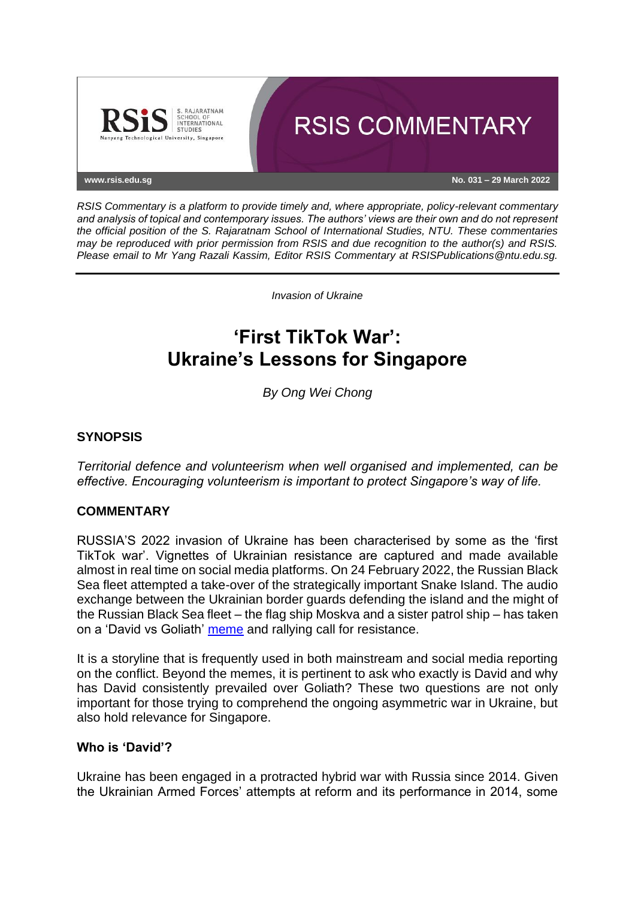

*RSIS Commentary is a platform to provide timely and, where appropriate, policy-relevant commentary and analysis of topical and contemporary issues. The authors' views are their own and do not represent the official position of the S. Rajaratnam School of International Studies, NTU. These commentaries may be reproduced with prior permission from RSIS and due recognition to the author(s) and RSIS. Please email to Mr Yang Razali Kassim, Editor RSIS Commentary at RSISPublications@ntu.edu.sg.*

*Invasion of Ukraine*

# **'First TikTok War': Ukraine's Lessons for Singapore**

*By Ong Wei Chong*

## **SYNOPSIS**

*Territorial defence and volunteerism when well organised and implemented, can be effective. Encouraging volunteerism is important to protect Singapore's way of life.*

## **COMMENTARY**

RUSSIA'S 2022 invasion of Ukraine has been characterised by some as the 'first TikTok war'. Vignettes of Ukrainian resistance are captured and made available almost in real time on social media platforms. On 24 February 2022, the Russian Black Sea fleet attempted a take-over of the strategically important Snake Island. The audio exchange between the Ukrainian border guards defending the island and the might of the Russian Black Sea fleet – the flag ship Moskva and a sister patrol ship – has taken on a 'David vs Goliath' [meme](https://www.theguardian.com/world/2022/mar/12/ukraine-reveals-russian-warship-go-fuck-yourself-postage-stamp) and rallying call for resistance.

It is a storyline that is frequently used in both mainstream and social media reporting on the conflict. Beyond the memes, it is pertinent to ask who exactly is David and why has David consistently prevailed over Goliath? These two questions are not only important for those trying to comprehend the ongoing asymmetric war in Ukraine, but also hold relevance for Singapore.

## **Who is 'David'?**

Ukraine has been engaged in a protracted hybrid war with Russia since 2014. Given the Ukrainian Armed Forces' attempts at reform and its performance in 2014, some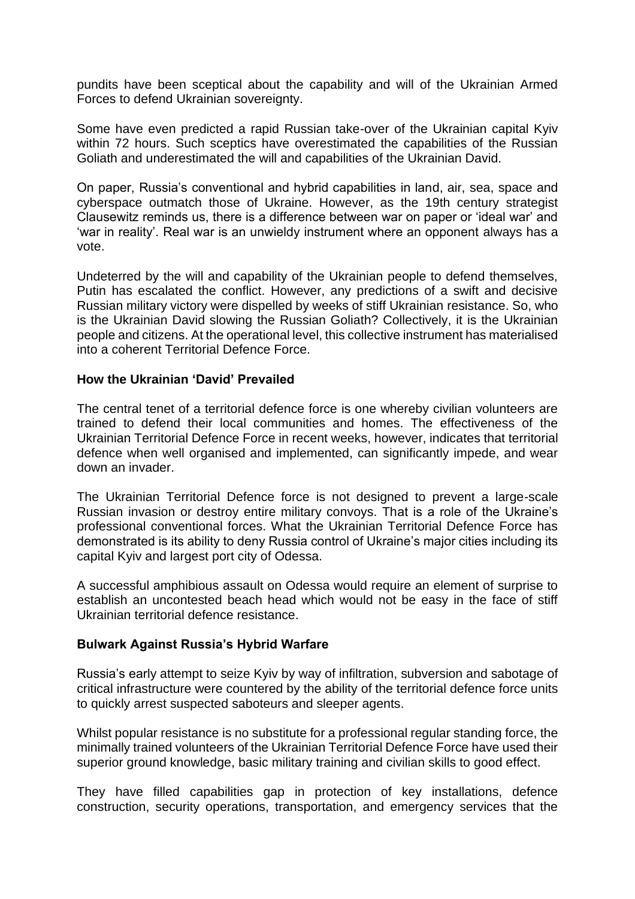pundits have been sceptical about the capability and will of the Ukrainian Armed Forces to defend Ukrainian sovereignty.

Some have even predicted a rapid Russian take-over of the Ukrainian capital Kyiv within 72 hours. Such sceptics have overestimated the capabilities of the Russian Goliath and underestimated the will and capabilities of the Ukrainian David.

On paper, Russia's conventional and hybrid capabilities in land, air, sea, space and cyberspace outmatch those of Ukraine. However, as the 19th century strategist Clausewitz reminds us, there is a difference between war on paper or 'ideal war' and 'war in reality'. Real war is an unwieldy instrument where an opponent always has a vote.

Undeterred by the will and capability of the Ukrainian people to defend themselves, Putin has escalated the conflict. However, any predictions of a swift and decisive Russian military victory were dispelled by weeks of stiff Ukrainian resistance. So, who is the Ukrainian David slowing the Russian Goliath? Collectively, it is the Ukrainian people and citizens. At the operational level, this collective instrument has materialised into a coherent Territorial Defence Force.

#### **How the Ukrainian 'David' Prevailed**

The central tenet of a territorial defence force is one whereby civilian volunteers are trained to defend their local communities and homes. The effectiveness of the Ukrainian Territorial Defence Force in recent weeks, however, indicates that territorial defence when well organised and implemented, can significantly impede, and wear down an invader.

The Ukrainian Territorial Defence force is not designed to prevent a large-scale Russian invasion or destroy entire military convoys. That is a role of the Ukraine's professional conventional forces. What the Ukrainian Territorial Defence Force has demonstrated is its ability to deny Russia control of Ukraine's major cities including its capital Kyiv and largest port city of Odessa.

A successful amphibious assault on Odessa would require an element of surprise to establish an uncontested beach head which would not be easy in the face of stiff Ukrainian territorial defence resistance.

## **Bulwark Against Russia's Hybrid Warfare**

Russia's early attempt to seize Kyiv by way of infiltration, subversion and sabotage of critical infrastructure were countered by the ability of the territorial defence force units to quickly arrest suspected saboteurs and sleeper agents.

Whilst popular resistance is no substitute for a professional regular standing force, the minimally trained volunteers of the Ukrainian Territorial Defence Force have used their superior ground knowledge, basic military training and civilian skills to good effect.

They have filled capabilities gap in protection of key installations, defence construction, security operations, transportation, and emergency services that the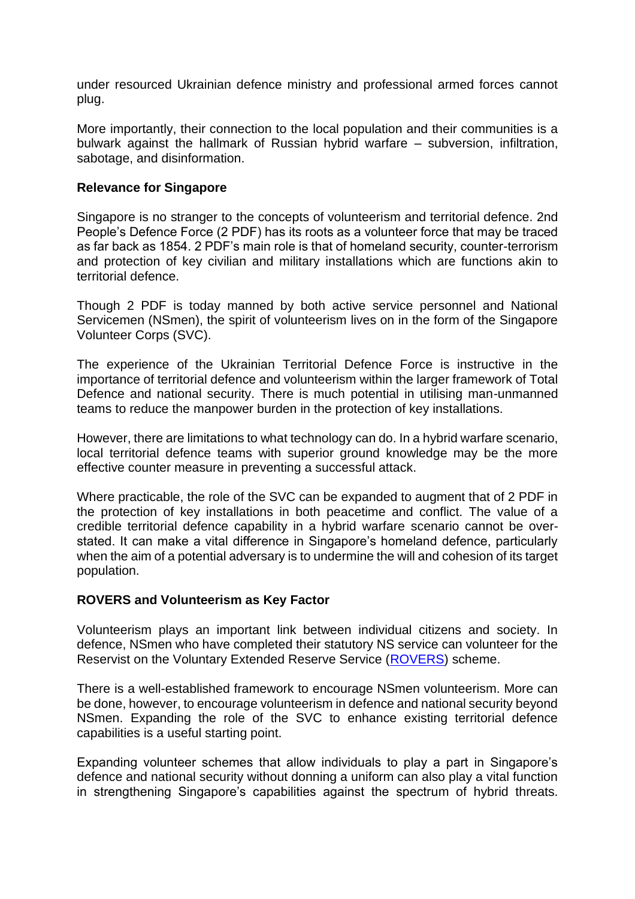under resourced Ukrainian defence ministry and professional armed forces cannot plug.

More importantly, their connection to the local population and their communities is a bulwark against the hallmark of Russian hybrid warfare – subversion, infiltration, sabotage, and disinformation.

## **Relevance for Singapore**

Singapore is no stranger to the concepts of volunteerism and territorial defence. 2nd People's Defence Force (2 PDF) has its roots as a volunteer force that may be traced as far back as 1854. 2 PDF's main role is that of homeland security, counter-terrorism and protection of key civilian and military installations which are functions akin to territorial defence.

Though 2 PDF is today manned by both active service personnel and National Servicemen (NSmen), the spirit of volunteerism lives on in the form of the Singapore Volunteer Corps (SVC).

The experience of the Ukrainian Territorial Defence Force is instructive in the importance of territorial defence and volunteerism within the larger framework of Total Defence and national security. There is much potential in utilising man-unmanned teams to reduce the manpower burden in the protection of key installations.

However, there are limitations to what technology can do. In a hybrid warfare scenario, local territorial defence teams with superior ground knowledge may be the more effective counter measure in preventing a successful attack.

Where practicable, the role of the SVC can be expanded to augment that of 2 PDF in the protection of key installations in both peacetime and conflict. The value of a credible territorial defence capability in a hybrid warfare scenario cannot be overstated. It can make a vital difference in Singapore's homeland defence, particularly when the aim of a potential adversary is to undermine the will and cohesion of its target population.

## **ROVERS and Volunteerism as Key Factor**

Volunteerism plays an important link between individual citizens and society. In defence, NSmen who have completed their statutory NS service can volunteer for the Reservist on the Voluntary Extended Reserve Service [\(ROVERS\)](https://www.ns.sg/web/portal/nsmen/home/nstopics/orns/serving-beyond-mr-statutory-age/rovers-ns-volunteer-scheme) scheme.

There is a well-established framework to encourage NSmen volunteerism. More can be done, however, to encourage volunteerism in defence and national security beyond NSmen. Expanding the role of the SVC to enhance existing territorial defence capabilities is a useful starting point.

Expanding volunteer schemes that allow individuals to play a part in Singapore's defence and national security without donning a uniform can also play a vital function in strengthening Singapore's capabilities against the spectrum of hybrid threats.